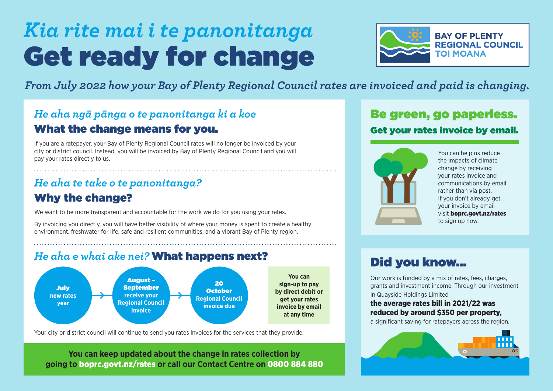# Get ready for change *Kia rite mai i te panonitanga*



*From July 2022 how your Bay of Plenty Regional Council rates are invoiced and paid is changing.*

## What the change means for you. *He aha ngā pānga o te panonitanga ki a koe*

If you are a ratepayer, your Bay of Plenty Regional Council rates will no longer be invoiced by your city or district council. Instead, you will be invoiced by Bay of Plenty Regional Council and you will pay your rates directly to us.

## Why the change? *He aha te take o te panonitanga?*

We want to be more transparent and accountable for the work we do for you using your rates.

By invoicing you directly, you will have better visibility of where your money is spent to create a healthy environment, freshwater for life, safe and resilient communities, and a vibrant Bay of Plenty region.

## *He aha e whai ake nei?* What happens next?



Your city or district council will continue to send you rates invoices for the services that they provide.

**You can keep updated about the change in rates collection by going to** [boprc.govt.nz/rates](www.boprc.govt.nz/rates) **or call our Contact Centre on** 0800 884 880

## Be green, go paperless. Get your rates invoice by email.



You can help us reduce the impacts of climate change by receiving your rates invoice and communications by email rather than via post. If you don't already get your invoice by email visit [boprc.govt.nz/rates](www.boprc.govt.nz/rates)  to sign up now.

# Did you know...

Our work is funded by a mix of rates, fees, charges, grants and investment income. Through our investment in Quayside Holdings Limited

#### the average rates bill in 2021/22 was reduced by around \$350 per property,

a significant saving for ratepayers across the region.